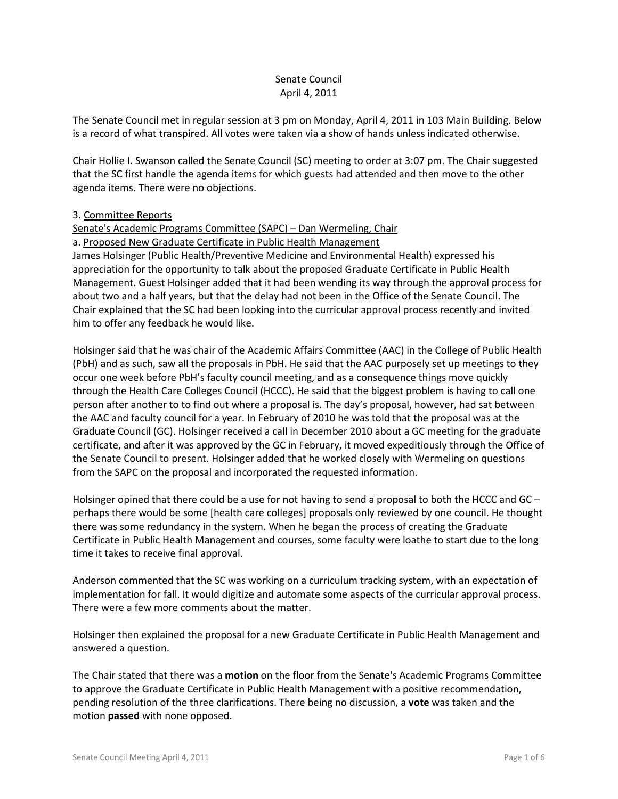# Senate Council April 4, 2011

The Senate Council met in regular session at 3 pm on Monday, April 4, 2011 in 103 Main Building. Below is a record of what transpired. All votes were taken via a show of hands unless indicated otherwise.

Chair Hollie I. Swanson called the Senate Council (SC) meeting to order at 3:07 pm. The Chair suggested that the SC first handle the agenda items for which guests had attended and then move to the other agenda items. There were no objections.

## 3. Committee Reports

## Senate's Academic Programs Committee (SAPC) – Dan Wermeling, Chair

### a. Proposed New Graduate Certificate in Public Health Management

James Holsinger (Public Health/Preventive Medicine and Environmental Health) expressed his appreciation for the opportunity to talk about the proposed Graduate Certificate in Public Health Management. Guest Holsinger added that it had been wending its way through the approval process for about two and a half years, but that the delay had not been in the Office of the Senate Council. The Chair explained that the SC had been looking into the curricular approval process recently and invited him to offer any feedback he would like.

Holsinger said that he was chair of the Academic Affairs Committee (AAC) in the College of Public Health (PbH) and as such, saw all the proposals in PbH. He said that the AAC purposely set up meetings to they occur one week before PbH's faculty council meeting, and as a consequence things move quickly through the Health Care Colleges Council (HCCC). He said that the biggest problem is having to call one person after another to to find out where a proposal is. The day's proposal, however, had sat between the AAC and faculty council for a year. In February of 2010 he was told that the proposal was at the Graduate Council (GC). Holsinger received a call in December 2010 about a GC meeting for the graduate certificate, and after it was approved by the GC in February, it moved expeditiously through the Office of the Senate Council to present. Holsinger added that he worked closely with Wermeling on questions from the SAPC on the proposal and incorporated the requested information.

Holsinger opined that there could be a use for not having to send a proposal to both the HCCC and GC perhaps there would be some [health care colleges] proposals only reviewed by one council. He thought there was some redundancy in the system. When he began the process of creating the Graduate Certificate in Public Health Management and courses, some faculty were loathe to start due to the long time it takes to receive final approval.

Anderson commented that the SC was working on a curriculum tracking system, with an expectation of implementation for fall. It would digitize and automate some aspects of the curricular approval process. There were a few more comments about the matter.

Holsinger then explained the proposal for a new Graduate Certificate in Public Health Management and answered a question.

The Chair stated that there was a **motion** on the floor from the Senate's Academic Programs Committee to approve the Graduate Certificate in Public Health Management with a positive recommendation, pending resolution of the three clarifications. There being no discussion, a **vote** was taken and the motion **passed** with none opposed.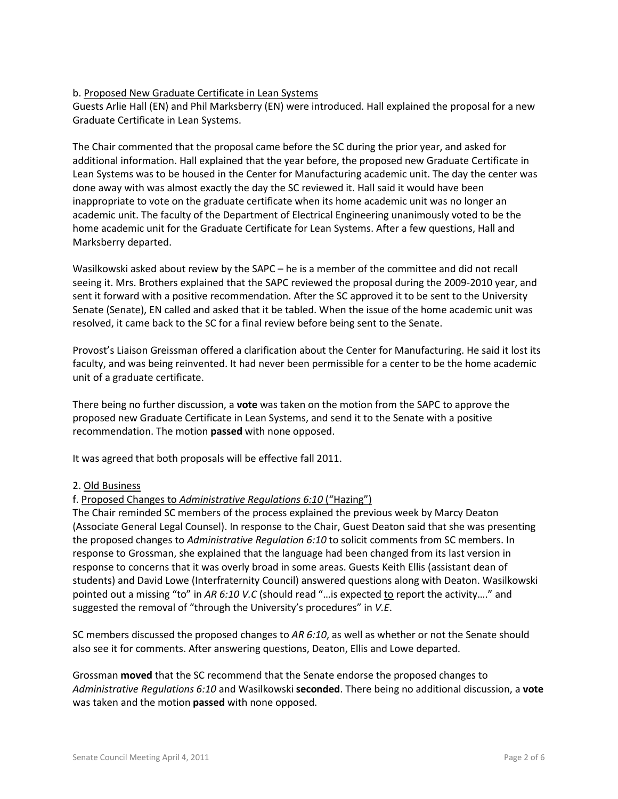# b. Proposed New Graduate Certificate in Lean Systems

Guests Arlie Hall (EN) and Phil Marksberry (EN) were introduced. Hall explained the proposal for a new Graduate Certificate in Lean Systems.

The Chair commented that the proposal came before the SC during the prior year, and asked for additional information. Hall explained that the year before, the proposed new Graduate Certificate in Lean Systems was to be housed in the Center for Manufacturing academic unit. The day the center was done away with was almost exactly the day the SC reviewed it. Hall said it would have been inappropriate to vote on the graduate certificate when its home academic unit was no longer an academic unit. The faculty of the Department of Electrical Engineering unanimously voted to be the home academic unit for the Graduate Certificate for Lean Systems. After a few questions, Hall and Marksberry departed.

Wasilkowski asked about review by the SAPC – he is a member of the committee and did not recall seeing it. Mrs. Brothers explained that the SAPC reviewed the proposal during the 2009-2010 year, and sent it forward with a positive recommendation. After the SC approved it to be sent to the University Senate (Senate), EN called and asked that it be tabled. When the issue of the home academic unit was resolved, it came back to the SC for a final review before being sent to the Senate.

Provost's Liaison Greissman offered a clarification about the Center for Manufacturing. He said it lost its faculty, and was being reinvented. It had never been permissible for a center to be the home academic unit of a graduate certificate.

There being no further discussion, a **vote** was taken on the motion from the SAPC to approve the proposed new Graduate Certificate in Lean Systems, and send it to the Senate with a positive recommendation. The motion **passed** with none opposed.

It was agreed that both proposals will be effective fall 2011.

## 2. Old Business

## f. Proposed Changes to *Administrative Regulations 6:10* ("Hazing")

The Chair reminded SC members of the process explained the previous week by Marcy Deaton (Associate General Legal Counsel). In response to the Chair, Guest Deaton said that she was presenting the proposed changes to *Administrative Regulation 6:10* to solicit comments from SC members. In response to Grossman, she explained that the language had been changed from its last version in response to concerns that it was overly broad in some areas. Guests Keith Ellis (assistant dean of students) and David Lowe (Interfraternity Council) answered questions along with Deaton. Wasilkowski pointed out a missing "to" in AR 6:10 V.C (should read "... is expected to report the activity...." and suggested the removal of "through the University's procedures" in *V.E*.

SC members discussed the proposed changes to *AR 6:10*, as well as whether or not the Senate should also see it for comments. After answering questions, Deaton, Ellis and Lowe departed.

Grossman **moved** that the SC recommend that the Senate endorse the proposed changes to *Administrative Regulations 6:10* and Wasilkowski **seconded**. There being no additional discussion, a **vote** was taken and the motion **passed** with none opposed.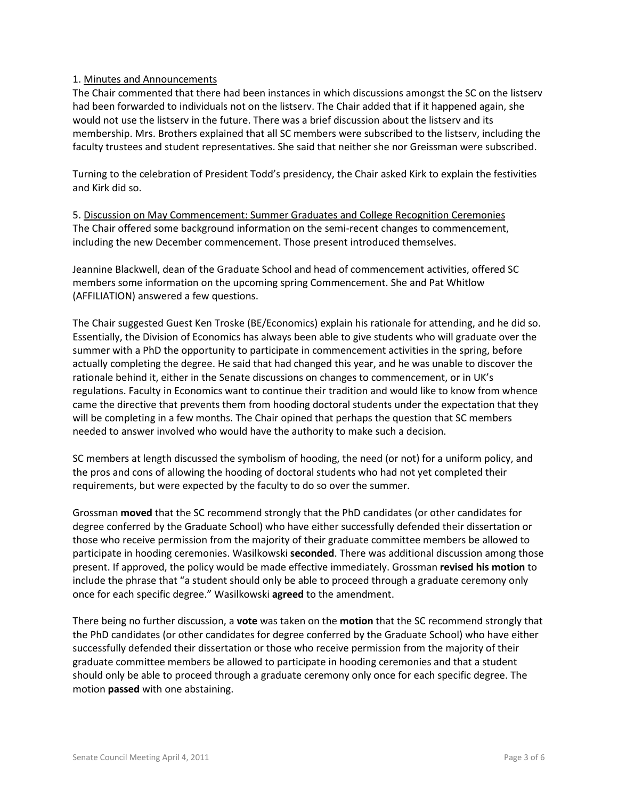### 1. Minutes and Announcements

The Chair commented that there had been instances in which discussions amongst the SC on the listserv had been forwarded to individuals not on the listserv. The Chair added that if it happened again, she would not use the listserv in the future. There was a brief discussion about the listserv and its membership. Mrs. Brothers explained that all SC members were subscribed to the listserv, including the faculty trustees and student representatives. She said that neither she nor Greissman were subscribed.

Turning to the celebration of President Todd's presidency, the Chair asked Kirk to explain the festivities and Kirk did so.

5. Discussion on May Commencement: Summer Graduates and College Recognition Ceremonies The Chair offered some background information on the semi-recent changes to commencement, including the new December commencement. Those present introduced themselves.

Jeannine Blackwell, dean of the Graduate School and head of commencement activities, offered SC members some information on the upcoming spring Commencement. She and Pat Whitlow (AFFILIATION) answered a few questions.

The Chair suggested Guest Ken Troske (BE/Economics) explain his rationale for attending, and he did so. Essentially, the Division of Economics has always been able to give students who will graduate over the summer with a PhD the opportunity to participate in commencement activities in the spring, before actually completing the degree. He said that had changed this year, and he was unable to discover the rationale behind it, either in the Senate discussions on changes to commencement, or in UK's regulations. Faculty in Economics want to continue their tradition and would like to know from whence came the directive that prevents them from hooding doctoral students under the expectation that they will be completing in a few months. The Chair opined that perhaps the question that SC members needed to answer involved who would have the authority to make such a decision.

SC members at length discussed the symbolism of hooding, the need (or not) for a uniform policy, and the pros and cons of allowing the hooding of doctoral students who had not yet completed their requirements, but were expected by the faculty to do so over the summer.

Grossman **moved** that the SC recommend strongly that the PhD candidates (or other candidates for degree conferred by the Graduate School) who have either successfully defended their dissertation or those who receive permission from the majority of their graduate committee members be allowed to participate in hooding ceremonies. Wasilkowski **seconded**. There was additional discussion among those present. If approved, the policy would be made effective immediately. Grossman **revised his motion** to include the phrase that "a student should only be able to proceed through a graduate ceremony only once for each specific degree." Wasilkowski **agreed** to the amendment.

There being no further discussion, a **vote** was taken on the **motion** that the SC recommend strongly that the PhD candidates (or other candidates for degree conferred by the Graduate School) who have either successfully defended their dissertation or those who receive permission from the majority of their graduate committee members be allowed to participate in hooding ceremonies and that a student should only be able to proceed through a graduate ceremony only once for each specific degree. The motion **passed** with one abstaining.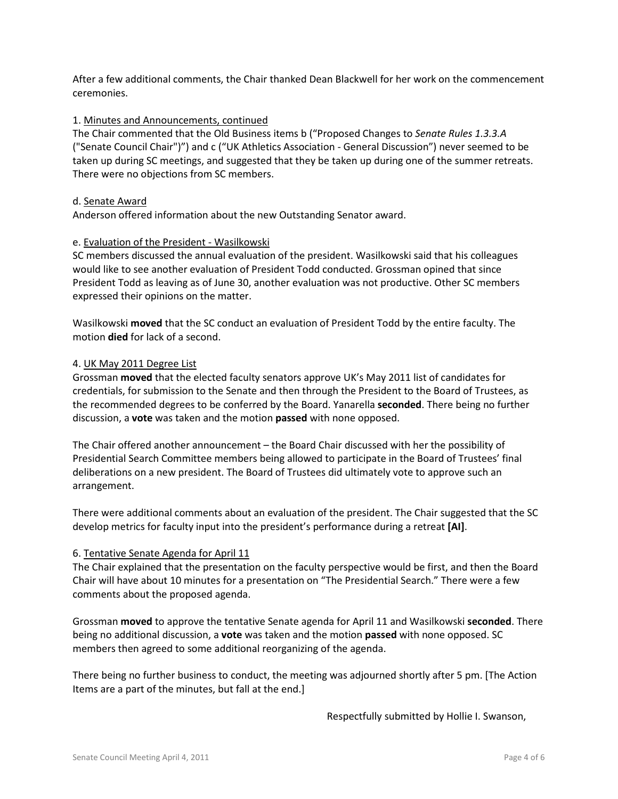After a few additional comments, the Chair thanked Dean Blackwell for her work on the commencement ceremonies.

### 1. Minutes and Announcements, continued

The Chair commented that the Old Business items b ("Proposed Changes to *Senate Rules 1.3.3.A*  ("Senate Council Chair")") and c ("UK Athletics Association - General Discussion") never seemed to be taken up during SC meetings, and suggested that they be taken up during one of the summer retreats. There were no objections from SC members.

### d. Senate Award

Anderson offered information about the new Outstanding Senator award.

### e. Evaluation of the President - Wasilkowski

SC members discussed the annual evaluation of the president. Wasilkowski said that his colleagues would like to see another evaluation of President Todd conducted. Grossman opined that since President Todd as leaving as of June 30, another evaluation was not productive. Other SC members expressed their opinions on the matter.

Wasilkowski **moved** that the SC conduct an evaluation of President Todd by the entire faculty. The motion **died** for lack of a second.

### 4. UK May 2011 Degree List

Grossman **moved** that the elected faculty senators approve UK's May 2011 list of candidates for credentials, for submission to the Senate and then through the President to the Board of Trustees, as the recommended degrees to be conferred by the Board. Yanarella **seconded**. There being no further discussion, a **vote** was taken and the motion **passed** with none opposed.

The Chair offered another announcement – the Board Chair discussed with her the possibility of Presidential Search Committee members being allowed to participate in the Board of Trustees' final deliberations on a new president. The Board of Trustees did ultimately vote to approve such an arrangement.

There were additional comments about an evaluation of the president. The Chair suggested that the SC develop metrics for faculty input into the president's performance during a retreat **[AI]**.

#### 6. Tentative Senate Agenda for April 11

The Chair explained that the presentation on the faculty perspective would be first, and then the Board Chair will have about 10 minutes for a presentation on "The Presidential Search." There were a few comments about the proposed agenda.

Grossman **moved** to approve the tentative Senate agenda for April 11 and Wasilkowski **seconded**. There being no additional discussion, a **vote** was taken and the motion **passed** with none opposed. SC members then agreed to some additional reorganizing of the agenda.

There being no further business to conduct, the meeting was adjourned shortly after 5 pm. [The Action Items are a part of the minutes, but fall at the end.]

Respectfully submitted by Hollie I. Swanson,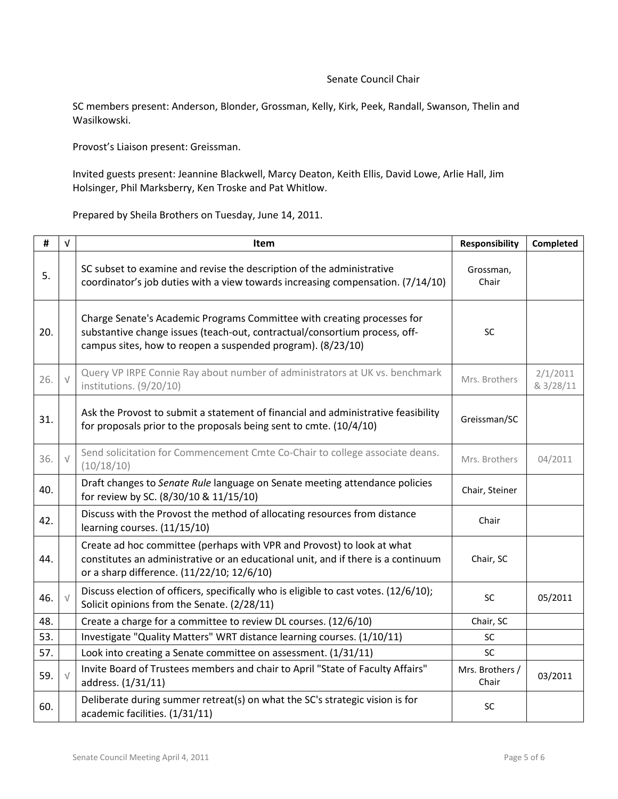#### Senate Council Chair

SC members present: Anderson, Blonder, Grossman, Kelly, Kirk, Peek, Randall, Swanson, Thelin and Wasilkowski.

Provost's Liaison present: Greissman.

Invited guests present: Jeannine Blackwell, Marcy Deaton, Keith Ellis, David Lowe, Arlie Hall, Jim Holsinger, Phil Marksberry, Ken Troske and Pat Whitlow.

Prepared by Sheila Brothers on Tuesday, June 14, 2011.

| #   | $\sqrt{ }$ | <b>Item</b>                                                                                                                                                                                                          | <b>Responsibility</b>    | Completed             |
|-----|------------|----------------------------------------------------------------------------------------------------------------------------------------------------------------------------------------------------------------------|--------------------------|-----------------------|
| 5.  |            | SC subset to examine and revise the description of the administrative<br>coordinator's job duties with a view towards increasing compensation. (7/14/10)                                                             | Grossman,<br>Chair       |                       |
| 20. |            | Charge Senate's Academic Programs Committee with creating processes for<br>substantive change issues (teach-out, contractual/consortium process, off-<br>campus sites, how to reopen a suspended program). (8/23/10) | SC                       |                       |
| 26. | $\sqrt{ }$ | Query VP IRPE Connie Ray about number of administrators at UK vs. benchmark<br>institutions. (9/20/10)                                                                                                               | Mrs. Brothers            | 2/1/2011<br>& 3/28/11 |
| 31. |            | Ask the Provost to submit a statement of financial and administrative feasibility<br>for proposals prior to the proposals being sent to cmte. (10/4/10)                                                              | Greissman/SC             |                       |
| 36. | $\sqrt{ }$ | Send solicitation for Commencement Cmte Co-Chair to college associate deans.<br>(10/18/10)                                                                                                                           | Mrs. Brothers            | 04/2011               |
| 40. |            | Draft changes to Senate Rule language on Senate meeting attendance policies<br>for review by SC. (8/30/10 & 11/15/10)                                                                                                | Chair, Steiner           |                       |
| 42. |            | Discuss with the Provost the method of allocating resources from distance<br>learning courses. (11/15/10)                                                                                                            | Chair                    |                       |
| 44. |            | Create ad hoc committee (perhaps with VPR and Provost) to look at what<br>constitutes an administrative or an educational unit, and if there is a continuum<br>or a sharp difference. (11/22/10; 12/6/10)            | Chair, SC                |                       |
| 46. | $\sqrt{ }$ | Discuss election of officers, specifically who is eligible to cast votes. (12/6/10);<br>Solicit opinions from the Senate. (2/28/11)                                                                                  | SC                       | 05/2011               |
| 48. |            | Create a charge for a committee to review DL courses. (12/6/10)                                                                                                                                                      | Chair, SC                |                       |
| 53. |            | Investigate "Quality Matters" WRT distance learning courses. (1/10/11)                                                                                                                                               | SC                       |                       |
| 57. |            | Look into creating a Senate committee on assessment. (1/31/11)                                                                                                                                                       | <b>SC</b>                |                       |
| 59. | $\sqrt{ }$ | Invite Board of Trustees members and chair to April "State of Faculty Affairs"<br>address. (1/31/11)                                                                                                                 | Mrs. Brothers /<br>Chair | 03/2011               |
| 60. |            | Deliberate during summer retreat(s) on what the SC's strategic vision is for<br>academic facilities. (1/31/11)                                                                                                       | <b>SC</b>                |                       |